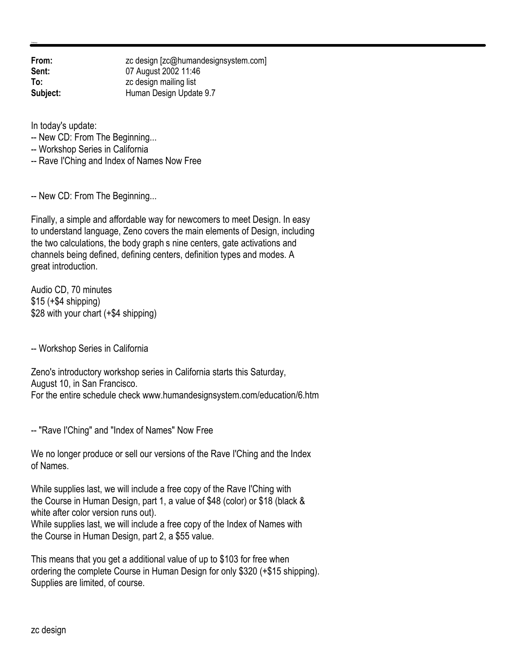**From:** zc design [zc@humandesignsystem.com] **Sent:** 07 August 2002 11:46 **To:** zc design mailing list **Subject:** Human Design Update 9.7

In today's update:

-- New CD: From The Beginning...

-- Workshop Series in California

-- Rave I'Ching and Index of Names Now Free

-- New CD: From The Beginning...

Finally, a simple and affordable way for newcomers to meet Design. In easy to understand language, Zeno covers the main elements of Design, including the two calculations, the body graph s nine centers, gate activations and channels being defined, defining centers, definition types and modes. A great introduction.

Audio CD, 70 minutes  $$15 (+$4 shipping)$ \$28 with your chart (+\$4 shipping)

-- Workshop Series in California

Zeno's introductory workshop series in California starts this Saturday, August 10, in San Francisco. For the entire schedule check www.humandesignsystem.com/education/6.htm

-- "Rave I'Ching" and "Index of Names" Now Free

We no longer produce or sell our versions of the Rave I'Ching and the Index of Names.

While supplies last, we will include a free copy of the Rave I'Ching with the Course in Human Design, part 1, a value of \$48 (color) or \$18 (black & white after color version runs out).

While supplies last, we will include a free copy of the Index of Names with the Course in Human Design, part 2, a \$55 value.

This means that you get a additional value of up to \$103 for free when ordering the complete Course in Human Design for only \$320 (+\$15 shipping). Supplies are limited, of course.